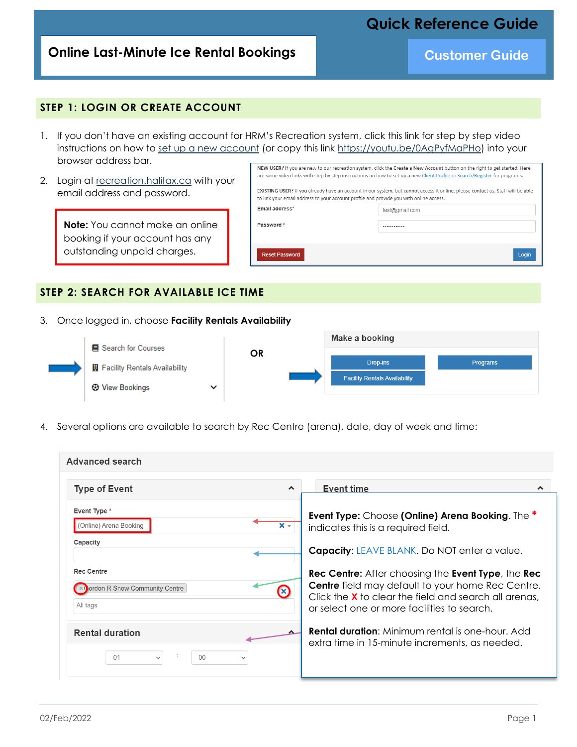# **Quick Reference Guide**

## **Online Last-Minute Ice Rental Bookings and Customer Guide**

#### **STEP 1: LOGIN OR CREATE ACCOUNT**

- 1. If you don't have an existing account for HRM's Recreation system, click this link for step by step video instructions on how to [set up a new account](https://youtu.be/0AgPyfMaPHo) (or copy this link [https://youtu.be/0AgPyfMaPHo\)](https://youtu.be/0AgPyfMaPHo) into your browser address bar.
- 2. Login at [recreation.halifax.ca](https://recreation.halifax.ca/enterprise/account/login) with your email address and password.

**Note:** You cannot make an online booking if your account has any outstanding unpaid charges.

|                                                                                        | NEW USER? If you are new to our recreation system, click the Create a New Account button on the right to get started. Here<br>are some video links with step by step instructions on how to set up a new Client Profile or Search/Register for programs. |
|----------------------------------------------------------------------------------------|----------------------------------------------------------------------------------------------------------------------------------------------------------------------------------------------------------------------------------------------------------|
| to link your email address to your account profile and provide you with online access. | EXISTING USER? If you already have an account in our system, but cannot access it online, please contact us. Staff will be able                                                                                                                          |
| Email address*                                                                         | test@gmail.com                                                                                                                                                                                                                                           |
| Password*                                                                              |                                                                                                                                                                                                                                                          |
|                                                                                        |                                                                                                                                                                                                                                                          |
| <b>Reset Password</b>                                                                  | Login                                                                                                                                                                                                                                                    |

#### **STEP 2: SEARCH FOR AVAILABLE ICE TIME**

3. Once logged in, choose **Facility Rentals Availability**



4. Several options are available to search by Rec Centre (arena), date, day of week and time:

| Advanced search                                                         |                                                                                                                                                                                                                                                     |
|-------------------------------------------------------------------------|-----------------------------------------------------------------------------------------------------------------------------------------------------------------------------------------------------------------------------------------------------|
| <b>Type of Event</b><br>∧                                               | <b>Event time</b><br>^                                                                                                                                                                                                                              |
| Event Type *<br>(Online) Arena Booking<br>x –<br>Capacity               | <b>Event Type:</b> Choose (Online) Arena Booking. The *<br>indicates this is a required field.<br><b>Capacity: LEAVE BLANK. Do NOT enter a value.</b>                                                                                               |
| <b>Rec Centre</b><br>ordon R Snow Community Centre<br>(X)<br>All tags   | <b>Rec Centre:</b> After choosing the <b>Event Type</b> , the <b>Rec</b><br><b>Centre</b> field may default to your home Rec Centre.<br>Click the <b>X</b> to clear the field and search all arenas.<br>or select one or more facilities to search. |
| <b>Rental duration</b><br>01<br>$00 \,$<br>$\checkmark$<br>$\checkmark$ | <b>Rental duration:</b> Minimum rental is one-hour. Add<br>extra time in 15-minute increments, as needed.                                                                                                                                           |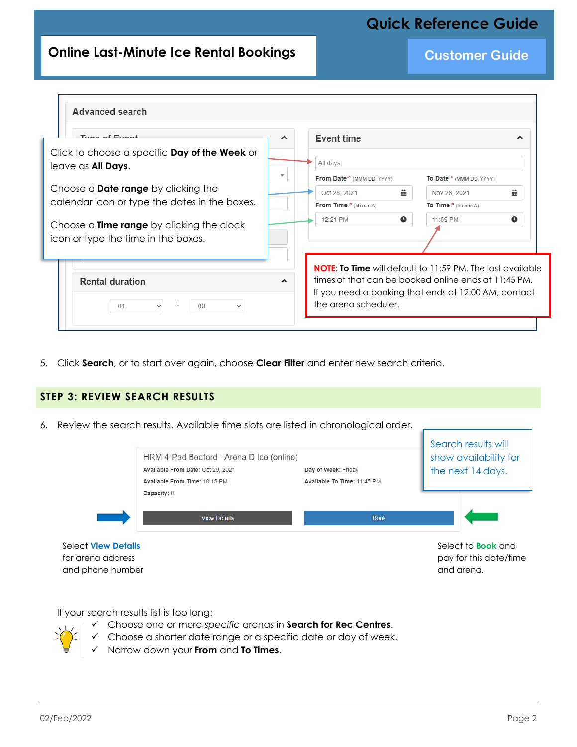# **Quick Reference Guide**

## **Online Last-Minute Ice Rental Bookings and Customer Guide**

| Type of Event                                                                           | ㅅ | <b>Event time</b>          | ㅅ                                                                                                                                                                                 |
|-----------------------------------------------------------------------------------------|---|----------------------------|-----------------------------------------------------------------------------------------------------------------------------------------------------------------------------------|
| Click to choose a specific Day of the Week or<br>leave as All Days.                     |   | All days                   |                                                                                                                                                                                   |
|                                                                                         |   | From Date * (MMM DD, YYYY) | To Date * (MMM DD, YYYY)                                                                                                                                                          |
| Choose a <b>Date range</b> by clicking the                                              |   | 曲<br>Oct 28, 2021          | 曲<br>Nov 28, 2021                                                                                                                                                                 |
| calendar icon or type the dates in the boxes.                                           |   | From Time * (hh:mm A)      | To Time * (hh:mm A)                                                                                                                                                               |
|                                                                                         |   | 12:21 PM<br>$\bullet$      | $\bullet$<br>11:59 PM                                                                                                                                                             |
| Choose a <b>Time range</b> by clicking the clock<br>icon or type the time in the boxes. |   |                            |                                                                                                                                                                                   |
|                                                                                         |   |                            |                                                                                                                                                                                   |
| <b>Rental duration</b><br>01<br>00<br>$\checkmark$<br>$\checkmark$                      |   | the arena scheduler.       | <b>NOTE: To Time</b> will default to 11:59 PM. The last available<br>timeslot that can be booked online ends at 11:45 PM.<br>If you need a booking that ends at 12:00 AM, contact |

5. Click **Search**, or to start over again, choose **Clear Filter** and enter new search criteria.

#### **STEP 3: REVIEW SEARCH RESULTS**

6. Review the search results. Available time slots are listed in chronological order.



If your search results list is too long:

- 
- ✓ Choose one or more *specific* arenas in **Search for Rec Centres**.
- ✓ Choose a shorter date range or a specific date or day of week.
- ✓ Narrow down your **From** and **To Times**.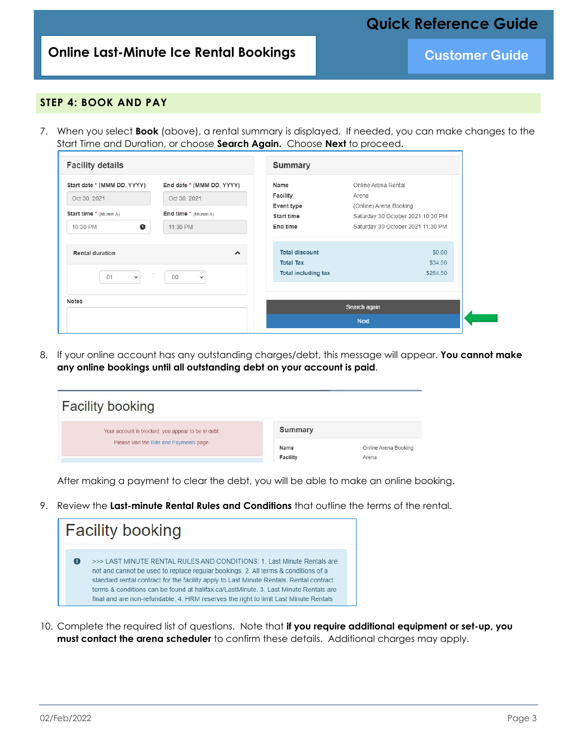**Online Last-Minute Ice Rental Bookings and Customer Guide** 

**Quick Reference Guide**

#### **STEP 4: BOOK AND PAY**

7. When you select **Book** (above), a rental summary is displayed. If needed, you can make changes to the Start Time and Duration, or choose **Search Again.** Choose **Next** to proceed.

| <b>Facility details</b>                                               | <b>Summary</b>                                                                                                    |                                                                                             |                               |
|-----------------------------------------------------------------------|-------------------------------------------------------------------------------------------------------------------|---------------------------------------------------------------------------------------------|-------------------------------|
| Start date * (MMM DD, YYYY)<br>Oct 30, 2021<br>Start time * (hh:mm A) | End date * (MMM DD, YYYY)<br>Name<br>Facility<br>Oct 30, 2021<br>Event type<br>End time * (hh:mm A)<br>Start time | Online Arena Rental<br>Arena<br>(Online) Arena Booking<br>Saturday 30 October 2021 10:30 PM |                               |
| $\bullet$<br>10:30 PM<br>11:30 PM                                     | End time                                                                                                          | Saturday 30 October 2021 11:30 PM                                                           |                               |
| Rental duration<br>÷<br>01<br>00<br>$\checkmark$                      | $\blacktriangle$<br><b>Total Tax</b><br>$\checkmark$                                                              | <b>Total discount</b><br>Total including tax                                                | \$0.00<br>\$34.50<br>\$264.50 |
| <b>Notes</b>                                                          | Search again                                                                                                      |                                                                                             |                               |

8. If your online account has any outstanding charges/debt, this message will appear. **You cannot make any online bookings until all outstanding debt on your account is paid**.

| <b>Facility booking</b>                            |                  |                               |  |
|----------------------------------------------------|------------------|-------------------------------|--|
| Your account is blocked, you appear to be in debt. | Summary          |                               |  |
| Please visit the Bills and Payments page.          | Name<br>Facility | Online Arena Booking<br>Arena |  |

After making a payment to clear the debt, you will be able to make an online booking.

9. Review the **Last-minute Rental Rules and Conditions** that outline the terms of the rental.



10. Complete the required list of questions. Note that **if you require additional equipment or set-up, you must contact the arena scheduler** to confirm these details. Additional charges may apply.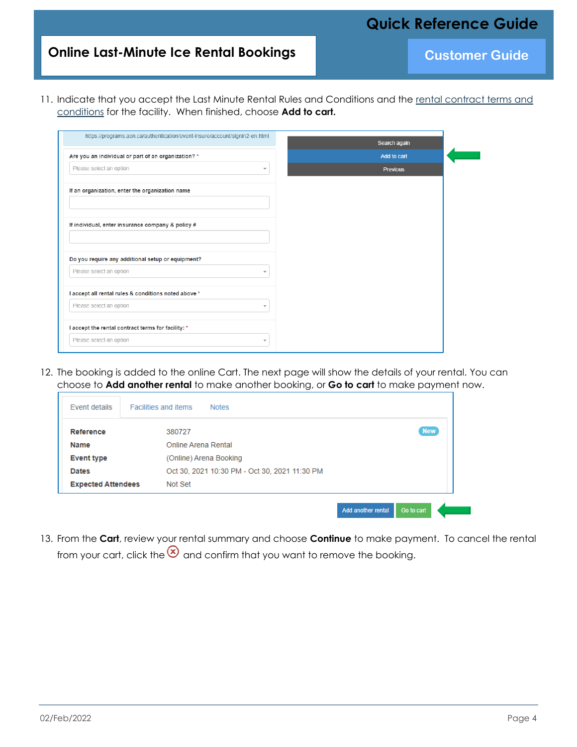# **Quick Reference Guide**

# **Online Last-Minute Ice Rental Bookings and Customer Guide**

11. Indicate that you accept the Last Minute Rental Rules and Conditions and the [rental contract terms and](https://halifax.ca/LastMinute)  [conditions](https://halifax.ca/LastMinute) for the facility. When finished, choose **Add to cart.**

| https://programs.aon.ca/authentication/event-insure/account/signin2-en.html | Search again    |
|-----------------------------------------------------------------------------|-----------------|
| Are you an individual or part of an organization? *                         | Add to cart     |
| Please select an option<br>$\overline{\mathbf{v}}$                          | <b>Previous</b> |
| If an organization, enter the organization name                             |                 |
| If individual, enter insurance company & policy #                           |                 |
|                                                                             |                 |
| Do you require any additional setup or equipment?                           |                 |
| Please select an option<br>$\overline{\mathbf{v}}$                          |                 |
| I accept all rental rules & conditions noted above *                        |                 |
| Please select an option<br>$\overline{\mathbf{v}}$                          |                 |
| I accept the rental contract terms for facility: *                          |                 |

12. The booking is added to the online Cart. The next page will show the details of your rental. You can choose to **Add another rental** to make another booking, or **Go to cart** to make payment now.

| Event details             | <b>Facilities and items</b><br><b>Notes</b>   |            |
|---------------------------|-----------------------------------------------|------------|
|                           |                                               |            |
| Reference                 | 380727                                        | <b>New</b> |
| <b>Name</b>               | Online Arena Rental                           |            |
| <b>Event type</b>         | (Online) Arena Booking                        |            |
| <b>Dates</b>              | Oct 30, 2021 10:30 PM - Oct 30, 2021 11:30 PM |            |
| <b>Expected Attendees</b> | Not Set                                       |            |

13. From the **Cart**, review your rental summary and choose **Continue** to make payment. To cancel the rental from your cart, click the  $\bigotimes$  and confirm that you want to remove the booking.